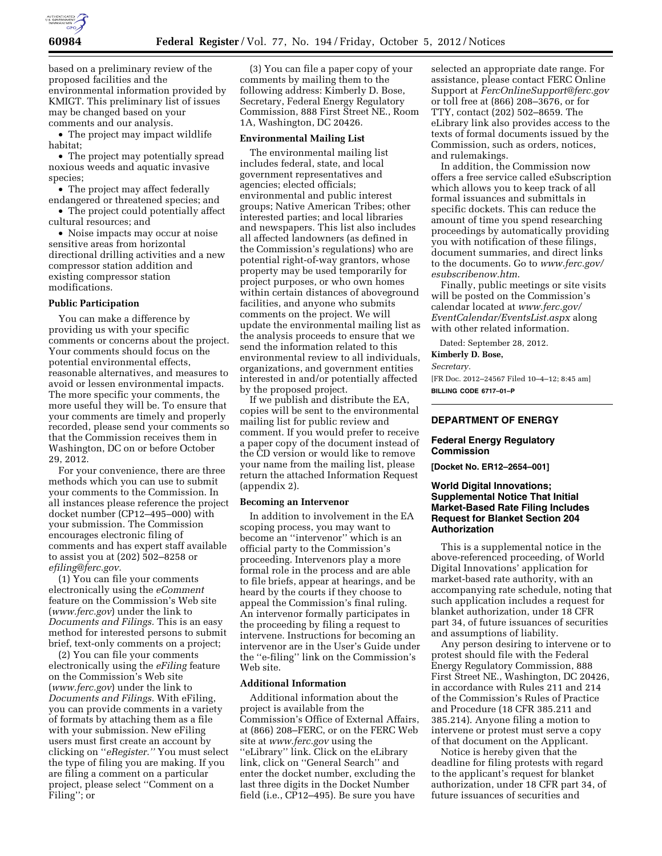

based on a preliminary review of the proposed facilities and the environmental information provided by KMIGT. This preliminary list of issues may be changed based on your comments and our analysis.

• The project may impact wildlife habitat;

• The project may potentially spread noxious weeds and aquatic invasive species;

• The project may affect federally endangered or threatened species; and

• The project could potentially affect cultural resources; and

• Noise impacts may occur at noise sensitive areas from horizontal directional drilling activities and a new compressor station addition and existing compressor station modifications.

#### **Public Participation**

You can make a difference by providing us with your specific comments or concerns about the project. Your comments should focus on the potential environmental effects, reasonable alternatives, and measures to avoid or lessen environmental impacts. The more specific your comments, the more useful they will be. To ensure that your comments are timely and properly recorded, please send your comments so that the Commission receives them in Washington, DC on or before October 29, 2012.

For your convenience, there are three methods which you can use to submit your comments to the Commission. In all instances please reference the project docket number (CP12–495–000) with your submission. The Commission encourages electronic filing of comments and has expert staff available to assist you at (202) 502–8258 or *[efiling@ferc.gov.](mailto:efiling@ferc.gov)* 

(1) You can file your comments electronically using the *eComment*  feature on the Commission's Web site (*[www.ferc.gov](http://www.ferc.gov)*) under the link to *Documents and Filings.* This is an easy method for interested persons to submit brief, text-only comments on a project;

(2) You can file your comments electronically using the *eFiling* feature on the Commission's Web site (*[www.ferc.gov](http://www.ferc.gov)*) under the link to *Documents and Filings.* With eFiling, you can provide comments in a variety of formats by attaching them as a file with your submission. New eFiling users must first create an account by clicking on ''*eRegister.''* You must select the type of filing you are making. If you are filing a comment on a particular project, please select ''Comment on a Filing''; or

(3) You can file a paper copy of your comments by mailing them to the following address: Kimberly D. Bose, Secretary, Federal Energy Regulatory Commission, 888 First Street NE., Room 1A, Washington, DC 20426.

#### **Environmental Mailing List**

The environmental mailing list includes federal, state, and local government representatives and agencies; elected officials; environmental and public interest groups; Native American Tribes; other interested parties; and local libraries and newspapers. This list also includes all affected landowners (as defined in the Commission's regulations) who are potential right-of-way grantors, whose property may be used temporarily for project purposes, or who own homes within certain distances of aboveground facilities, and anyone who submits comments on the project. We will update the environmental mailing list as the analysis proceeds to ensure that we send the information related to this environmental review to all individuals, organizations, and government entities interested in and/or potentially affected by the proposed project.

If we publish and distribute the EA, copies will be sent to the environmental mailing list for public review and comment. If you would prefer to receive a paper copy of the document instead of the CD version or would like to remove your name from the mailing list, please return the attached Information Request (appendix 2).

#### **Becoming an Intervenor**

In addition to involvement in the EA scoping process, you may want to become an ''intervenor'' which is an official party to the Commission's proceeding. Intervenors play a more formal role in the process and are able to file briefs, appear at hearings, and be heard by the courts if they choose to appeal the Commission's final ruling. An intervenor formally participates in the proceeding by filing a request to intervene. Instructions for becoming an intervenor are in the User's Guide under the ''e-filing'' link on the Commission's Web site.

#### **Additional Information**

Additional information about the project is available from the Commission's Office of External Affairs, at (866) 208–FERC, or on the FERC Web site at *[www.ferc.gov](http://www.ferc.gov)* using the ''eLibrary'' link. Click on the eLibrary link, click on ''General Search'' and enter the docket number, excluding the last three digits in the Docket Number field (i.e., CP12–495). Be sure you have

selected an appropriate date range. For assistance, please contact FERC Online Support at *[FercOnlineSupport@ferc.gov](mailto:FercOnlineSupport@ferc.gov)*  or toll free at (866) 208–3676, or for TTY, contact (202) 502–8659. The eLibrary link also provides access to the texts of formal documents issued by the Commission, such as orders, notices, and rulemakings.

In addition, the Commission now offers a free service called eSubscription which allows you to keep track of all formal issuances and submittals in specific dockets. This can reduce the amount of time you spend researching proceedings by automatically providing you with notification of these filings, document summaries, and direct links to the documents. Go to *[www.ferc.gov/](http://www.ferc.gov/esubscribenow.htm) [esubscribenow.htm](http://www.ferc.gov/esubscribenow.htm)*.

Finally, public meetings or site visits will be posted on the Commission's calendar located at *[www.ferc.gov/](http://www.ferc.gov/EventCalendar/EventsList.aspx) [EventCalendar/EventsList.aspx](http://www.ferc.gov/EventCalendar/EventsList.aspx)* along with other related information.

Dated: September 28, 2012.

**Kimberly D. Bose,** 

*Secretary.* 

[FR Doc. 2012–24567 Filed 10–4–12; 8:45 am] **BILLING CODE 6717–01–P** 

# **DEPARTMENT OF ENERGY**

### **Federal Energy Regulatory Commission**

**[Docket No. ER12–2654–001]** 

## **World Digital Innovations; Supplemental Notice That Initial Market-Based Rate Filing Includes Request for Blanket Section 204 Authorization**

This is a supplemental notice in the above-referenced proceeding, of World Digital Innovations' application for market-based rate authority, with an accompanying rate schedule, noting that such application includes a request for blanket authorization, under 18 CFR part 34, of future issuances of securities and assumptions of liability.

Any person desiring to intervene or to protest should file with the Federal Energy Regulatory Commission, 888 First Street NE., Washington, DC 20426, in accordance with Rules 211 and 214 of the Commission's Rules of Practice and Procedure (18 CFR 385.211 and 385.214). Anyone filing a motion to intervene or protest must serve a copy of that document on the Applicant.

Notice is hereby given that the deadline for filing protests with regard to the applicant's request for blanket authorization, under 18 CFR part 34, of future issuances of securities and